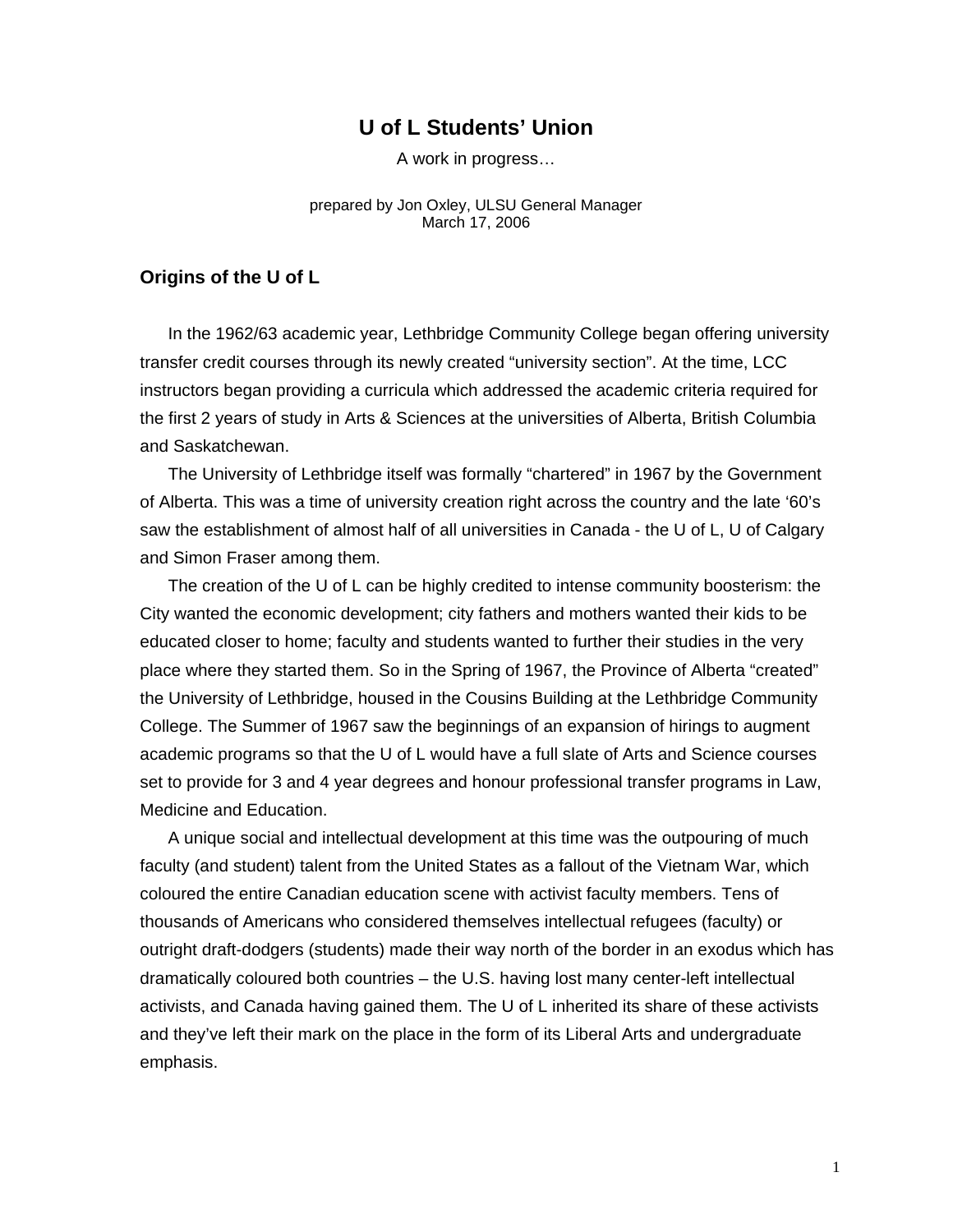# **U of L Students' Union**

A work in progress…

prepared by Jon Oxley, ULSU General Manager March 17, 2006

#### **Origins of the U of L**

In the 1962/63 academic year, Lethbridge Community College began offering university transfer credit courses through its newly created "university section". At the time, LCC instructors began providing a curricula which addressed the academic criteria required for the first 2 years of study in Arts & Sciences at the universities of Alberta, British Columbia and Saskatchewan.

The University of Lethbridge itself was formally "chartered" in 1967 by the Government of Alberta. This was a time of university creation right across the country and the late '60's saw the establishment of almost half of all universities in Canada - the U of L, U of Calgary and Simon Fraser among them.

The creation of the U of L can be highly credited to intense community boosterism: the City wanted the economic development; city fathers and mothers wanted their kids to be educated closer to home; faculty and students wanted to further their studies in the very place where they started them. So in the Spring of 1967, the Province of Alberta "created" the University of Lethbridge, housed in the Cousins Building at the Lethbridge Community College. The Summer of 1967 saw the beginnings of an expansion of hirings to augment academic programs so that the U of L would have a full slate of Arts and Science courses set to provide for 3 and 4 year degrees and honour professional transfer programs in Law, Medicine and Education.

A unique social and intellectual development at this time was the outpouring of much faculty (and student) talent from the United States as a fallout of the Vietnam War, which coloured the entire Canadian education scene with activist faculty members. Tens of thousands of Americans who considered themselves intellectual refugees (faculty) or outright draft-dodgers (students) made their way north of the border in an exodus which has dramatically coloured both countries – the U.S. having lost many center-left intellectual activists, and Canada having gained them. The U of L inherited its share of these activists and they've left their mark on the place in the form of its Liberal Arts and undergraduate emphasis.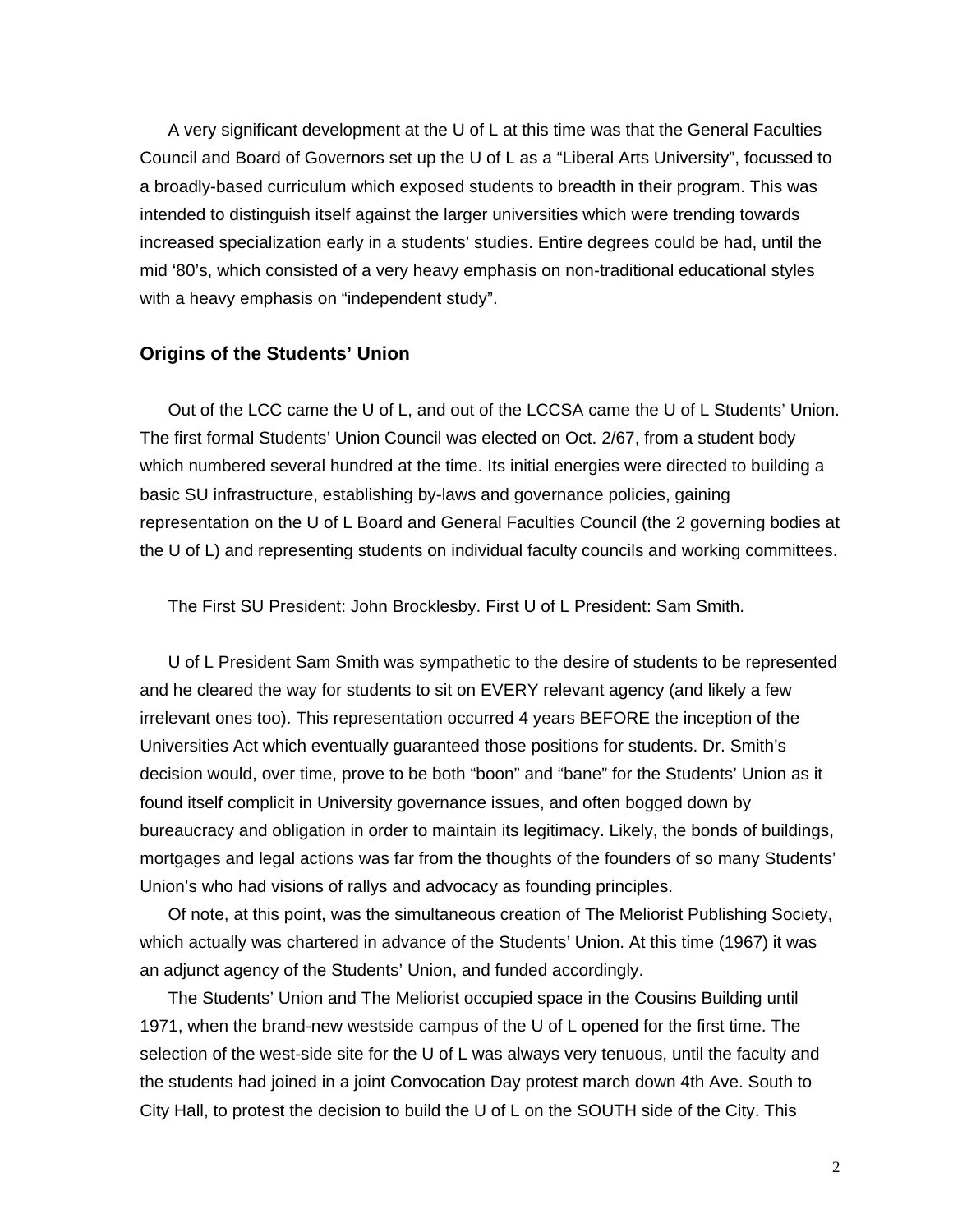A very significant development at the U of L at this time was that the General Faculties Council and Board of Governors set up the U of L as a "Liberal Arts University", focussed to a broadly-based curriculum which exposed students to breadth in their program. This was intended to distinguish itself against the larger universities which were trending towards increased specialization early in a students' studies. Entire degrees could be had, until the mid '80's, which consisted of a very heavy emphasis on non-traditional educational styles with a heavy emphasis on "independent study".

### **Origins of the Students' Union**

Out of the LCC came the U of L, and out of the LCCSA came the U of L Students' Union. The first formal Students' Union Council was elected on Oct. 2/67, from a student body which numbered several hundred at the time. Its initial energies were directed to building a basic SU infrastructure, establishing by-laws and governance policies, gaining representation on the U of L Board and General Faculties Council (the 2 governing bodies at the U of L) and representing students on individual faculty councils and working committees.

The First SU President: John Brocklesby. First U of L President: Sam Smith.

U of L President Sam Smith was sympathetic to the desire of students to be represented and he cleared the way for students to sit on EVERY relevant agency (and likely a few irrelevant ones too). This representation occurred 4 years BEFORE the inception of the Universities Act which eventually guaranteed those positions for students. Dr. Smith's decision would, over time, prove to be both "boon" and "bane" for the Students' Union as it found itself complicit in University governance issues, and often bogged down by bureaucracy and obligation in order to maintain its legitimacy. Likely, the bonds of buildings, mortgages and legal actions was far from the thoughts of the founders of so many Students' Union's who had visions of rallys and advocacy as founding principles.

Of note, at this point, was the simultaneous creation of The Meliorist Publishing Society, which actually was chartered in advance of the Students' Union. At this time (1967) it was an adjunct agency of the Students' Union, and funded accordingly.

The Students' Union and The Meliorist occupied space in the Cousins Building until 1971, when the brand-new westside campus of the U of L opened for the first time. The selection of the west-side site for the U of L was always very tenuous, until the faculty and the students had joined in a joint Convocation Day protest march down 4th Ave. South to City Hall, to protest the decision to build the U of L on the SOUTH side of the City. This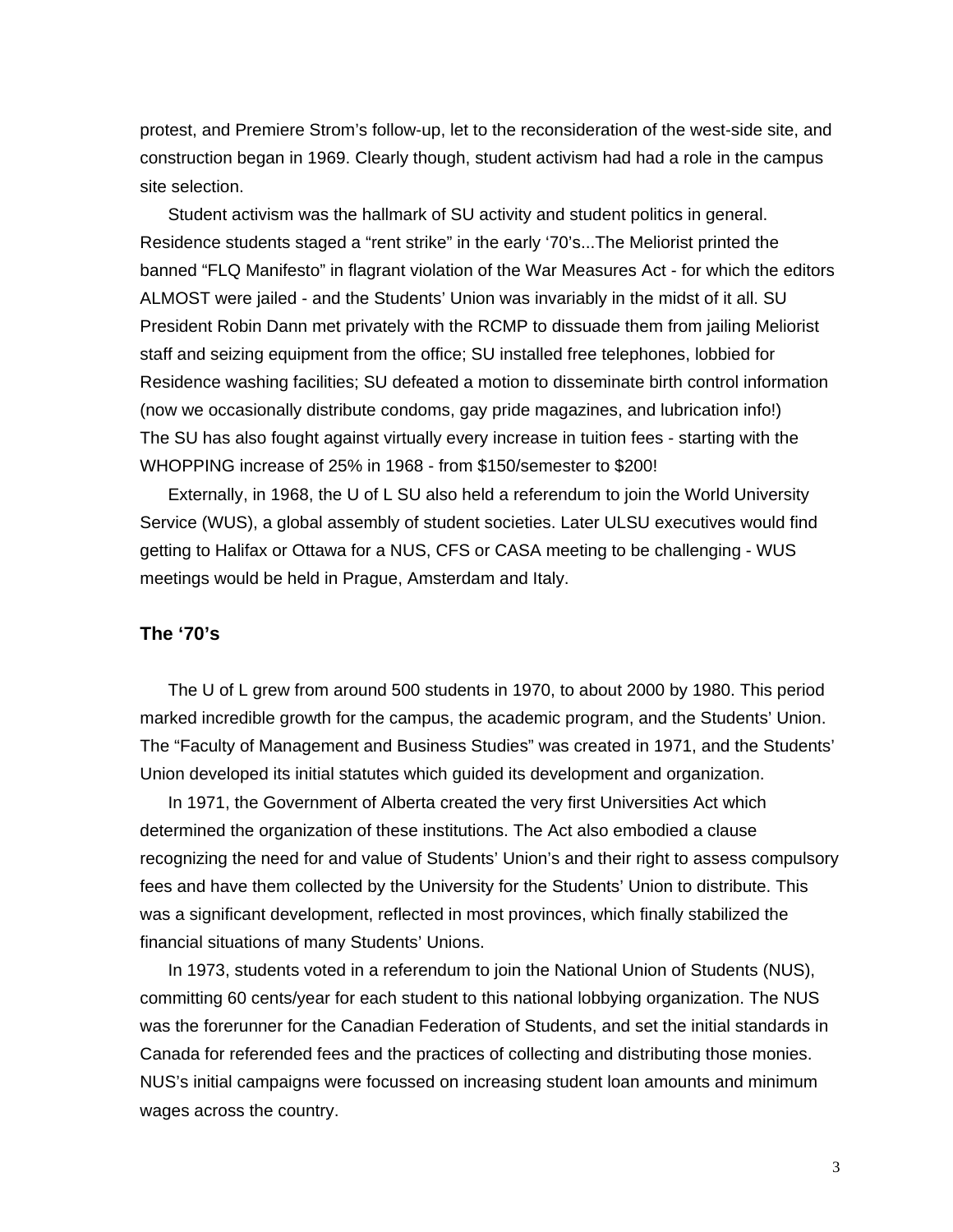protest, and Premiere Strom's follow-up, let to the reconsideration of the west-side site, and construction began in 1969. Clearly though, student activism had had a role in the campus site selection.

Student activism was the hallmark of SU activity and student politics in general. Residence students staged a "rent strike" in the early '70's...The Meliorist printed the banned "FLQ Manifesto" in flagrant violation of the War Measures Act - for which the editors ALMOST were jailed - and the Students' Union was invariably in the midst of it all. SU President Robin Dann met privately with the RCMP to dissuade them from jailing Meliorist staff and seizing equipment from the office; SU installed free telephones, lobbied for Residence washing facilities; SU defeated a motion to disseminate birth control information (now we occasionally distribute condoms, gay pride magazines, and lubrication info!) The SU has also fought against virtually every increase in tuition fees - starting with the WHOPPING increase of 25% in 1968 - from \$150/semester to \$200!

Externally, in 1968, the U of L SU also held a referendum to join the World University Service (WUS), a global assembly of student societies. Later ULSU executives would find getting to Halifax or Ottawa for a NUS, CFS or CASA meeting to be challenging - WUS meetings would be held in Prague, Amsterdam and Italy.

#### **The '70's**

The U of L grew from around 500 students in 1970, to about 2000 by 1980. This period marked incredible growth for the campus, the academic program, and the Students' Union. The "Faculty of Management and Business Studies" was created in 1971, and the Students' Union developed its initial statutes which guided its development and organization.

In 1971, the Government of Alberta created the very first Universities Act which determined the organization of these institutions. The Act also embodied a clause recognizing the need for and value of Students' Union's and their right to assess compulsory fees and have them collected by the University for the Students' Union to distribute. This was a significant development, reflected in most provinces, which finally stabilized the financial situations of many Students' Unions.

In 1973, students voted in a referendum to join the National Union of Students (NUS), committing 60 cents/year for each student to this national lobbying organization. The NUS was the forerunner for the Canadian Federation of Students, and set the initial standards in Canada for referended fees and the practices of collecting and distributing those monies. NUS's initial campaigns were focussed on increasing student loan amounts and minimum wages across the country.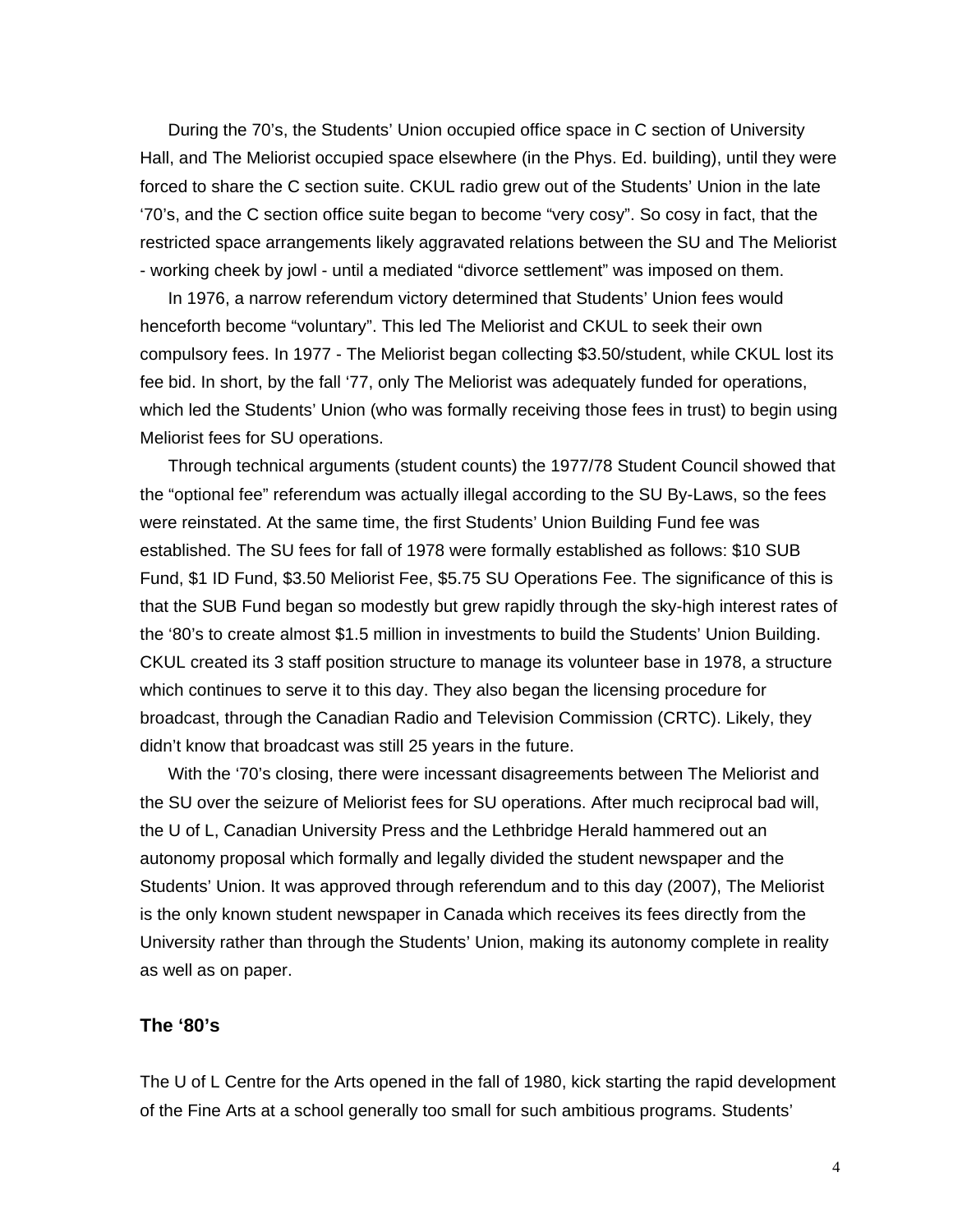During the 70's, the Students' Union occupied office space in C section of University Hall, and The Meliorist occupied space elsewhere (in the Phys. Ed. building), until they were forced to share the C section suite. CKUL radio grew out of the Students' Union in the late '70's, and the C section office suite began to become "very cosy". So cosy in fact, that the restricted space arrangements likely aggravated relations between the SU and The Meliorist - working cheek by jowl - until a mediated "divorce settlement" was imposed on them.

In 1976, a narrow referendum victory determined that Students' Union fees would henceforth become "voluntary". This led The Meliorist and CKUL to seek their own compulsory fees. In 1977 - The Meliorist began collecting \$3.50/student, while CKUL lost its fee bid. In short, by the fall '77, only The Meliorist was adequately funded for operations, which led the Students' Union (who was formally receiving those fees in trust) to begin using Meliorist fees for SU operations.

Through technical arguments (student counts) the 1977/78 Student Council showed that the "optional fee" referendum was actually illegal according to the SU By-Laws, so the fees were reinstated. At the same time, the first Students' Union Building Fund fee was established. The SU fees for fall of 1978 were formally established as follows: \$10 SUB Fund, \$1 ID Fund, \$3.50 Meliorist Fee, \$5.75 SU Operations Fee. The significance of this is that the SUB Fund began so modestly but grew rapidly through the sky-high interest rates of the '80's to create almost \$1.5 million in investments to build the Students' Union Building. CKUL created its 3 staff position structure to manage its volunteer base in 1978, a structure which continues to serve it to this day. They also began the licensing procedure for broadcast, through the Canadian Radio and Television Commission (CRTC). Likely, they didn't know that broadcast was still 25 years in the future.

With the '70's closing, there were incessant disagreements between The Meliorist and the SU over the seizure of Meliorist fees for SU operations. After much reciprocal bad will, the U of L, Canadian University Press and the Lethbridge Herald hammered out an autonomy proposal which formally and legally divided the student newspaper and the Students' Union. It was approved through referendum and to this day (2007), The Meliorist is the only known student newspaper in Canada which receives its fees directly from the University rather than through the Students' Union, making its autonomy complete in reality as well as on paper.

### **The '80's**

The U of L Centre for the Arts opened in the fall of 1980, kick starting the rapid development of the Fine Arts at a school generally too small for such ambitious programs. Students'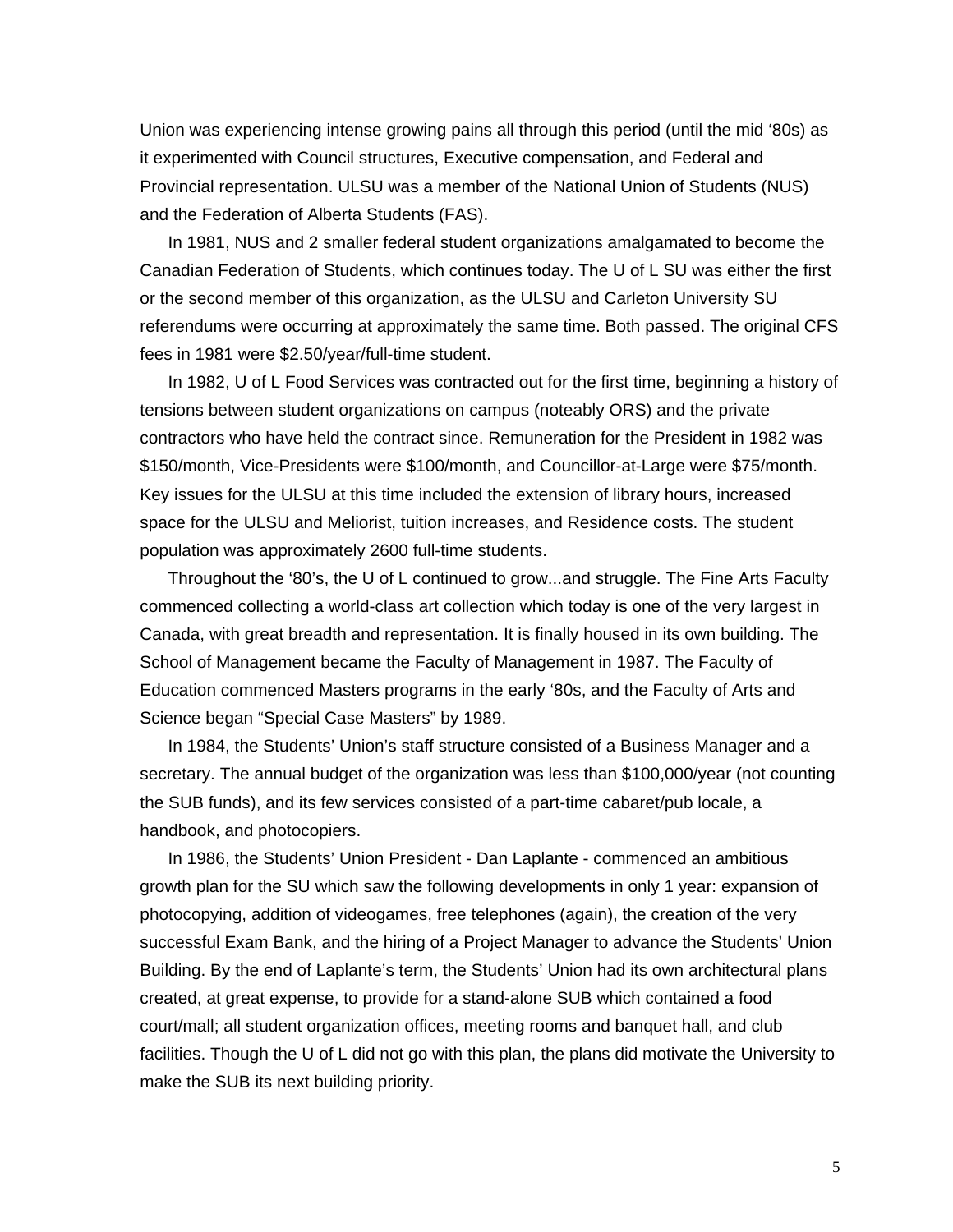Union was experiencing intense growing pains all through this period (until the mid '80s) as it experimented with Council structures, Executive compensation, and Federal and Provincial representation. ULSU was a member of the National Union of Students (NUS) and the Federation of Alberta Students (FAS).

In 1981, NUS and 2 smaller federal student organizations amalgamated to become the Canadian Federation of Students, which continues today. The U of L SU was either the first or the second member of this organization, as the ULSU and Carleton University SU referendums were occurring at approximately the same time. Both passed. The original CFS fees in 1981 were \$2.50/year/full-time student.

In 1982, U of L Food Services was contracted out for the first time, beginning a history of tensions between student organizations on campus (noteably ORS) and the private contractors who have held the contract since. Remuneration for the President in 1982 was \$150/month, Vice-Presidents were \$100/month, and Councillor-at-Large were \$75/month. Key issues for the ULSU at this time included the extension of library hours, increased space for the ULSU and Meliorist, tuition increases, and Residence costs. The student population was approximately 2600 full-time students.

Throughout the '80's, the U of L continued to grow...and struggle. The Fine Arts Faculty commenced collecting a world-class art collection which today is one of the very largest in Canada, with great breadth and representation. It is finally housed in its own building. The School of Management became the Faculty of Management in 1987. The Faculty of Education commenced Masters programs in the early '80s, and the Faculty of Arts and Science began "Special Case Masters" by 1989.

In 1984, the Students' Union's staff structure consisted of a Business Manager and a secretary. The annual budget of the organization was less than \$100,000/year (not counting the SUB funds), and its few services consisted of a part-time cabaret/pub locale, a handbook, and photocopiers.

In 1986, the Students' Union President - Dan Laplante - commenced an ambitious growth plan for the SU which saw the following developments in only 1 year: expansion of photocopying, addition of videogames, free telephones (again), the creation of the very successful Exam Bank, and the hiring of a Project Manager to advance the Students' Union Building. By the end of Laplante's term, the Students' Union had its own architectural plans created, at great expense, to provide for a stand-alone SUB which contained a food court/mall; all student organization offices, meeting rooms and banquet hall, and club facilities. Though the U of L did not go with this plan, the plans did motivate the University to make the SUB its next building priority.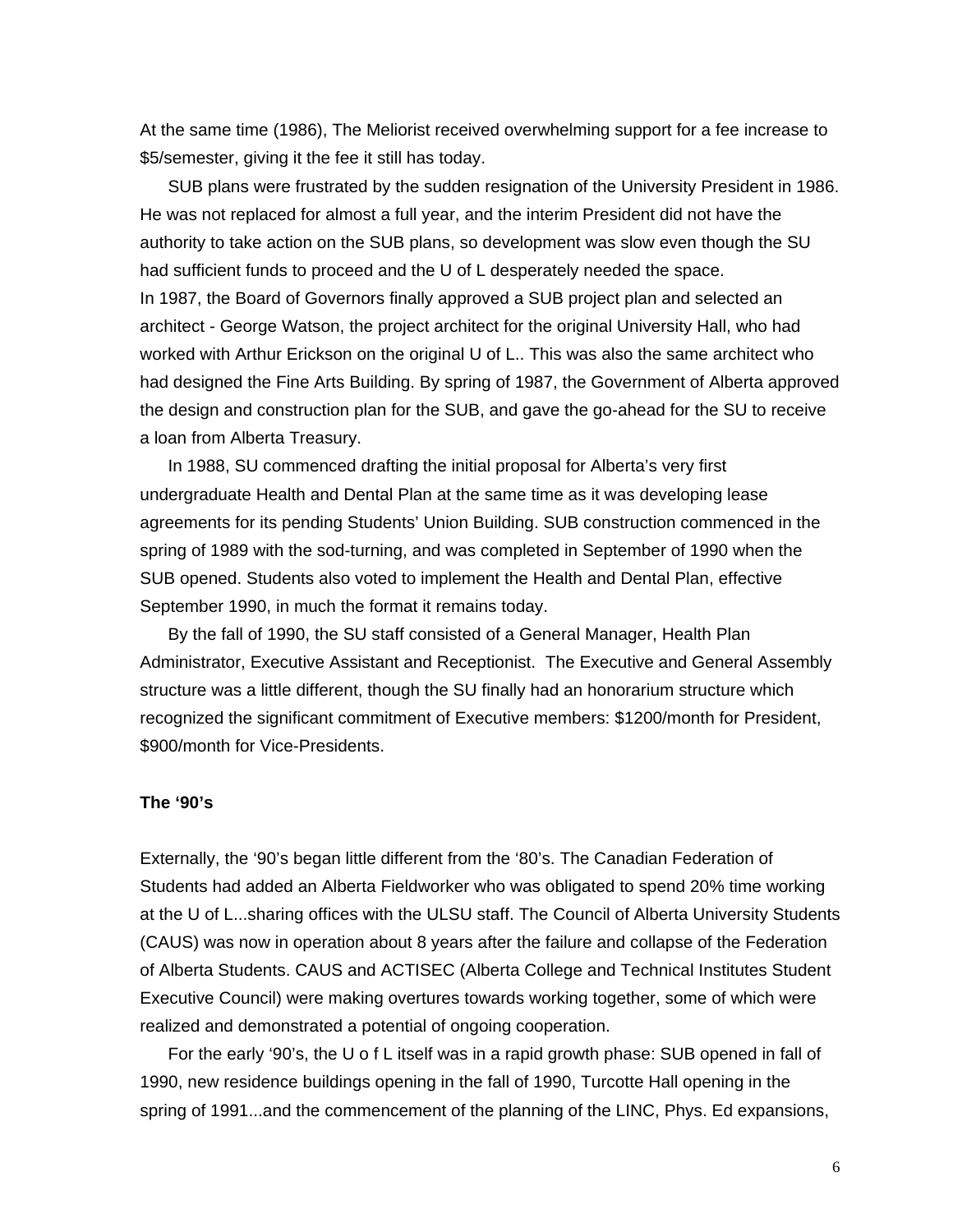At the same time (1986), The Meliorist received overwhelming support for a fee increase to \$5/semester, giving it the fee it still has today.

SUB plans were frustrated by the sudden resignation of the University President in 1986. He was not replaced for almost a full year, and the interim President did not have the authority to take action on the SUB plans, so development was slow even though the SU had sufficient funds to proceed and the U of L desperately needed the space. In 1987, the Board of Governors finally approved a SUB project plan and selected an architect - George Watson, the project architect for the original University Hall, who had worked with Arthur Erickson on the original U of L.. This was also the same architect who had designed the Fine Arts Building. By spring of 1987, the Government of Alberta approved the design and construction plan for the SUB, and gave the go-ahead for the SU to receive a loan from Alberta Treasury.

In 1988, SU commenced drafting the initial proposal for Alberta's very first undergraduate Health and Dental Plan at the same time as it was developing lease agreements for its pending Students' Union Building. SUB construction commenced in the spring of 1989 with the sod-turning, and was completed in September of 1990 when the SUB opened. Students also voted to implement the Health and Dental Plan, effective September 1990, in much the format it remains today.

By the fall of 1990, the SU staff consisted of a General Manager, Health Plan Administrator, Executive Assistant and Receptionist. The Executive and General Assembly structure was a little different, though the SU finally had an honorarium structure which recognized the significant commitment of Executive members: \$1200/month for President, \$900/month for Vice-Presidents.

#### **The '90's**

Externally, the '90's began little different from the '80's. The Canadian Federation of Students had added an Alberta Fieldworker who was obligated to spend 20% time working at the U of L...sharing offices with the ULSU staff. The Council of Alberta University Students (CAUS) was now in operation about 8 years after the failure and collapse of the Federation of Alberta Students. CAUS and ACTISEC (Alberta College and Technical Institutes Student Executive Council) were making overtures towards working together, some of which were realized and demonstrated a potential of ongoing cooperation.

For the early '90's, the U o f L itself was in a rapid growth phase: SUB opened in fall of 1990, new residence buildings opening in the fall of 1990, Turcotte Hall opening in the spring of 1991...and the commencement of the planning of the LINC, Phys. Ed expansions,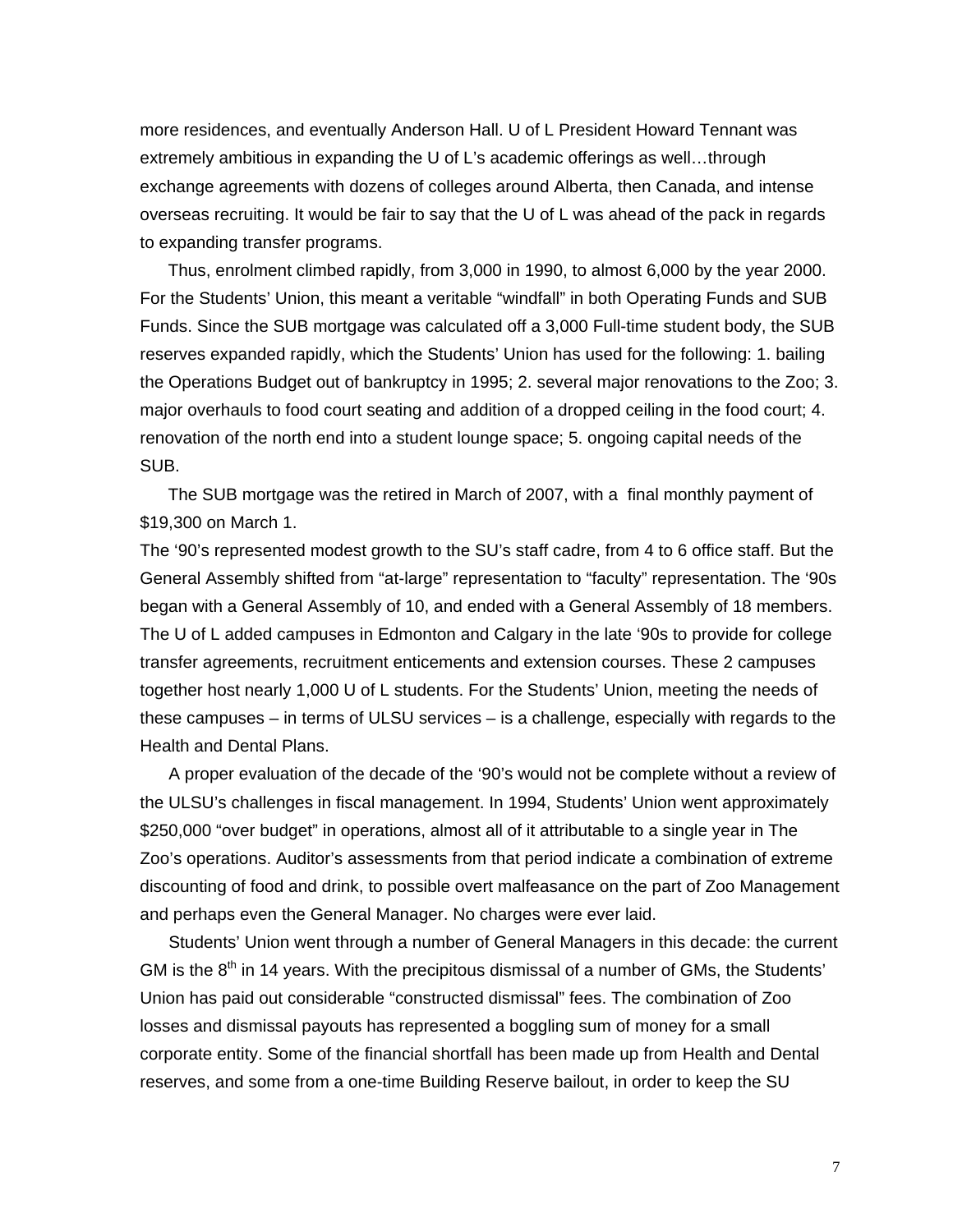more residences, and eventually Anderson Hall. U of L President Howard Tennant was extremely ambitious in expanding the U of L's academic offerings as well…through exchange agreements with dozens of colleges around Alberta, then Canada, and intense overseas recruiting. It would be fair to say that the U of L was ahead of the pack in regards to expanding transfer programs.

Thus, enrolment climbed rapidly, from 3,000 in 1990, to almost 6,000 by the year 2000. For the Students' Union, this meant a veritable "windfall" in both Operating Funds and SUB Funds. Since the SUB mortgage was calculated off a 3,000 Full-time student body, the SUB reserves expanded rapidly, which the Students' Union has used for the following: 1. bailing the Operations Budget out of bankruptcy in 1995; 2. several major renovations to the Zoo; 3. major overhauls to food court seating and addition of a dropped ceiling in the food court; 4. renovation of the north end into a student lounge space; 5. ongoing capital needs of the SUB.

The SUB mortgage was the retired in March of 2007, with a final monthly payment of \$19,300 on March 1.

The '90's represented modest growth to the SU's staff cadre, from 4 to 6 office staff. But the General Assembly shifted from "at-large" representation to "faculty" representation. The '90s began with a General Assembly of 10, and ended with a General Assembly of 18 members. The U of L added campuses in Edmonton and Calgary in the late '90s to provide for college transfer agreements, recruitment enticements and extension courses. These 2 campuses together host nearly 1,000 U of L students. For the Students' Union, meeting the needs of these campuses – in terms of ULSU services – is a challenge, especially with regards to the Health and Dental Plans.

 A proper evaluation of the decade of the '90's would not be complete without a review of the ULSU's challenges in fiscal management. In 1994, Students' Union went approximately \$250,000 "over budget" in operations, almost all of it attributable to a single year in The Zoo's operations. Auditor's assessments from that period indicate a combination of extreme discounting of food and drink, to possible overt malfeasance on the part of Zoo Management and perhaps even the General Manager. No charges were ever laid.

 Students' Union went through a number of General Managers in this decade: the current GM is the  $8<sup>th</sup>$  in 14 years. With the precipitous dismissal of a number of GMs, the Students' Union has paid out considerable "constructed dismissal" fees. The combination of Zoo losses and dismissal payouts has represented a boggling sum of money for a small corporate entity. Some of the financial shortfall has been made up from Health and Dental reserves, and some from a one-time Building Reserve bailout, in order to keep the SU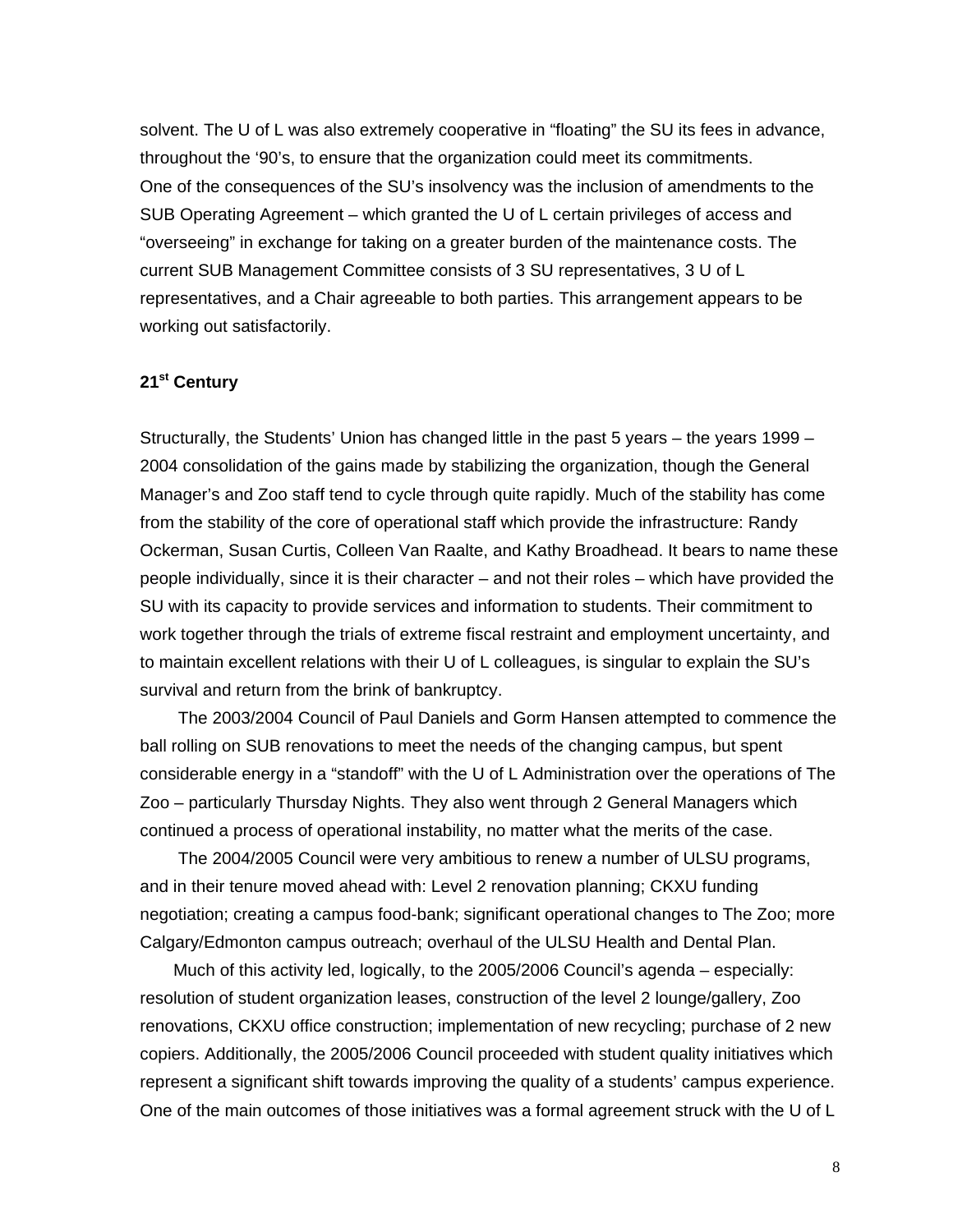solvent. The U of L was also extremely cooperative in "floating" the SU its fees in advance, throughout the '90's, to ensure that the organization could meet its commitments. One of the consequences of the SU's insolvency was the inclusion of amendments to the SUB Operating Agreement – which granted the U of L certain privileges of access and "overseeing" in exchange for taking on a greater burden of the maintenance costs. The current SUB Management Committee consists of 3 SU representatives, 3 U of L representatives, and a Chair agreeable to both parties. This arrangement appears to be working out satisfactorily.

### **21st Century**

Structurally, the Students' Union has changed little in the past 5 years – the years 1999 – 2004 consolidation of the gains made by stabilizing the organization, though the General Manager's and Zoo staff tend to cycle through quite rapidly. Much of the stability has come from the stability of the core of operational staff which provide the infrastructure: Randy Ockerman, Susan Curtis, Colleen Van Raalte, and Kathy Broadhead. It bears to name these people individually, since it is their character – and not their roles – which have provided the SU with its capacity to provide services and information to students. Their commitment to work together through the trials of extreme fiscal restraint and employment uncertainty, and to maintain excellent relations with their U of L colleagues, is singular to explain the SU's survival and return from the brink of bankruptcy.

 The 2003/2004 Council of Paul Daniels and Gorm Hansen attempted to commence the ball rolling on SUB renovations to meet the needs of the changing campus, but spent considerable energy in a "standoff" with the U of L Administration over the operations of The Zoo – particularly Thursday Nights. They also went through 2 General Managers which continued a process of operational instability, no matter what the merits of the case.

 The 2004/2005 Council were very ambitious to renew a number of ULSU programs, and in their tenure moved ahead with: Level 2 renovation planning; CKXU funding negotiation; creating a campus food-bank; significant operational changes to The Zoo; more Calgary/Edmonton campus outreach; overhaul of the ULSU Health and Dental Plan.

 Much of this activity led, logically, to the 2005/2006 Council's agenda – especially: resolution of student organization leases, construction of the level 2 lounge/gallery, Zoo renovations, CKXU office construction; implementation of new recycling; purchase of 2 new copiers. Additionally, the 2005/2006 Council proceeded with student quality initiatives which represent a significant shift towards improving the quality of a students' campus experience. One of the main outcomes of those initiatives was a formal agreement struck with the U of L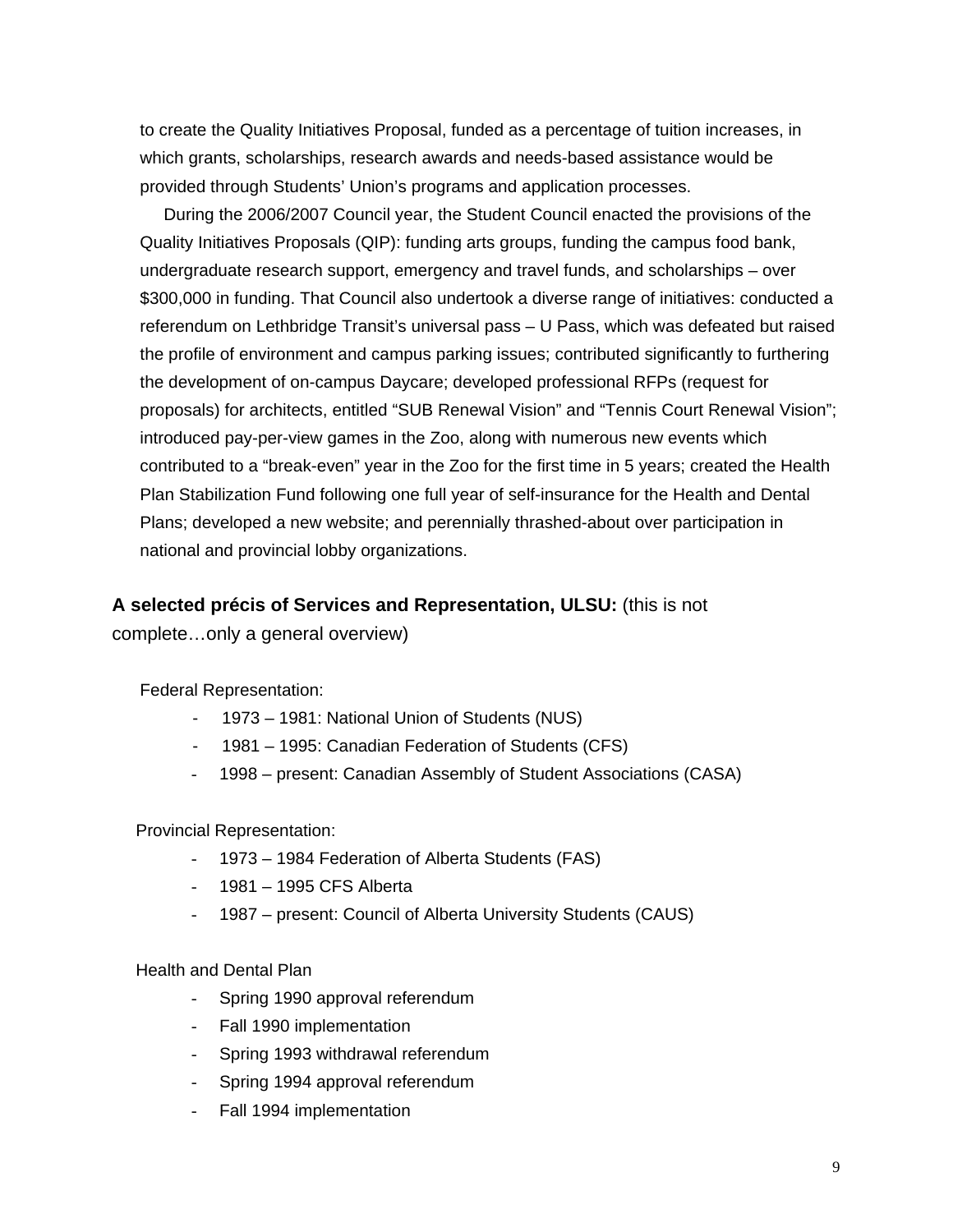to create the Quality Initiatives Proposal, funded as a percentage of tuition increases, in which grants, scholarships, research awards and needs-based assistance would be provided through Students' Union's programs and application processes.

 During the 2006/2007 Council year, the Student Council enacted the provisions of the Quality Initiatives Proposals (QIP): funding arts groups, funding the campus food bank, undergraduate research support, emergency and travel funds, and scholarships – over \$300,000 in funding. That Council also undertook a diverse range of initiatives: conducted a referendum on Lethbridge Transit's universal pass – U Pass, which was defeated but raised the profile of environment and campus parking issues; contributed significantly to furthering the development of on-campus Daycare; developed professional RFPs (request for proposals) for architects, entitled "SUB Renewal Vision" and "Tennis Court Renewal Vision"; introduced pay-per-view games in the Zoo, along with numerous new events which contributed to a "break-even" year in the Zoo for the first time in 5 years; created the Health Plan Stabilization Fund following one full year of self-insurance for the Health and Dental Plans; developed a new website; and perennially thrashed-about over participation in national and provincial lobby organizations.

### **A selected précis of Services and Representation, ULSU:** (this is not

complete…only a general overview)

Federal Representation:

- 1973 1981: National Union of Students (NUS)
- 1981 1995: Canadian Federation of Students (CFS)
- 1998 present: Canadian Assembly of Student Associations (CASA)

Provincial Representation:

- 1973 1984 Federation of Alberta Students (FAS)
- 1981 1995 CFS Alberta
- 1987 present: Council of Alberta University Students (CAUS)

Health and Dental Plan

- Spring 1990 approval referendum
- Fall 1990 implementation
- Spring 1993 withdrawal referendum
- Spring 1994 approval referendum
- Fall 1994 implementation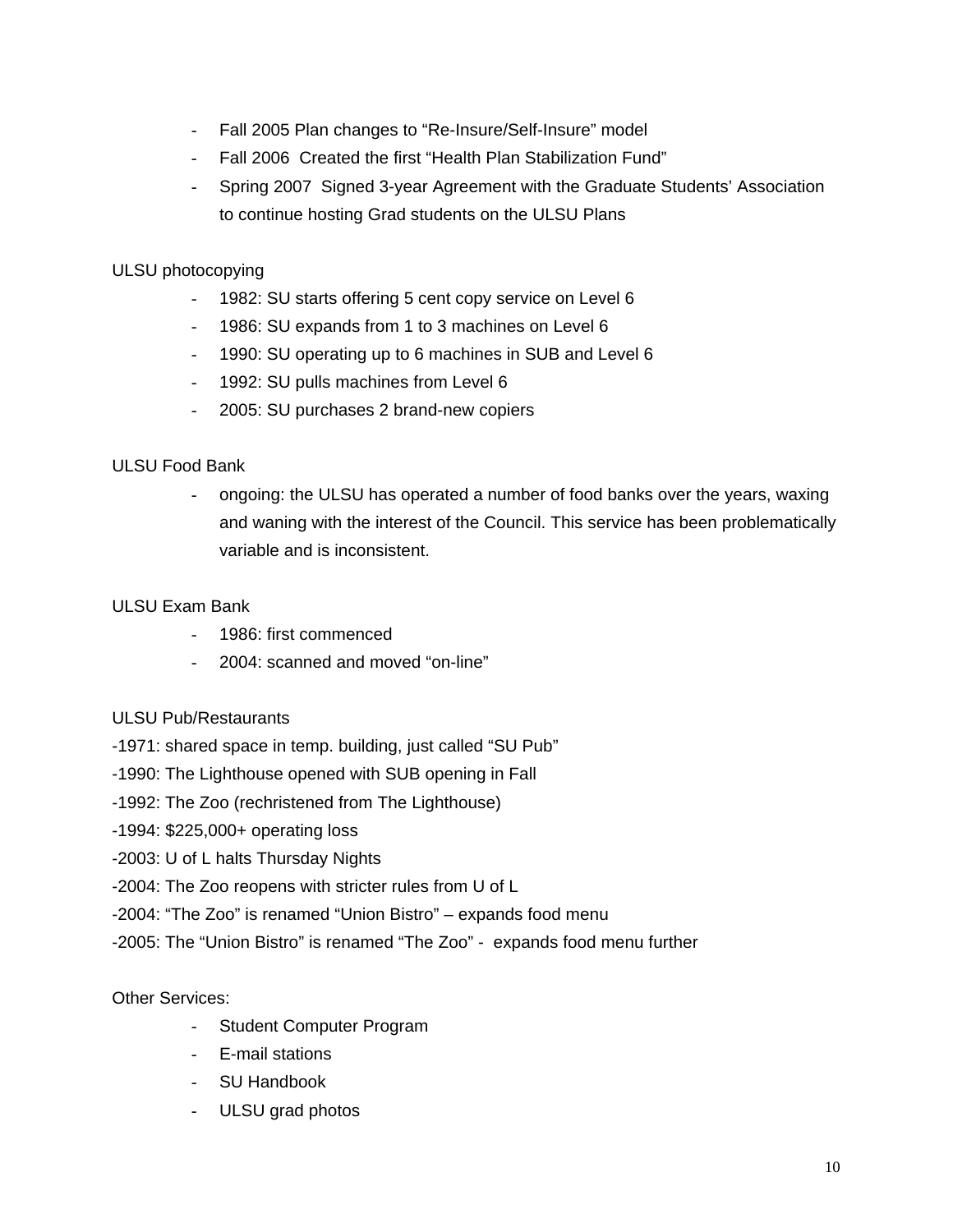- Fall 2005 Plan changes to "Re-Insure/Self-Insure" model
- Fall 2006 Created the first "Health Plan Stabilization Fund"
- Spring 2007 Signed 3-year Agreement with the Graduate Students' Association to continue hosting Grad students on the ULSU Plans

# ULSU photocopying

- 1982: SU starts offering 5 cent copy service on Level 6
- 1986: SU expands from 1 to 3 machines on Level 6
- 1990: SU operating up to 6 machines in SUB and Level 6
- 1992: SU pulls machines from Level 6
- 2005: SU purchases 2 brand-new copiers

# ULSU Food Bank

- ongoing: the ULSU has operated a number of food banks over the years, waxing and waning with the interest of the Council. This service has been problematically variable and is inconsistent.

### ULSU Exam Bank

- 1986: first commenced
- 2004: scanned and moved "on-line"

### ULSU Pub/Restaurants

- -1971: shared space in temp. building, just called "SU Pub"
- -1990: The Lighthouse opened with SUB opening in Fall
- -1992: The Zoo (rechristened from The Lighthouse)
- -1994: \$225,000+ operating loss
- -2003: U of L halts Thursday Nights
- -2004: The Zoo reopens with stricter rules from U of L
- -2004: "The Zoo" is renamed "Union Bistro" expands food menu
- -2005: The "Union Bistro" is renamed "The Zoo" expands food menu further

### Other Services:

- Student Computer Program
- E-mail stations
- SU Handbook
- ULSU grad photos